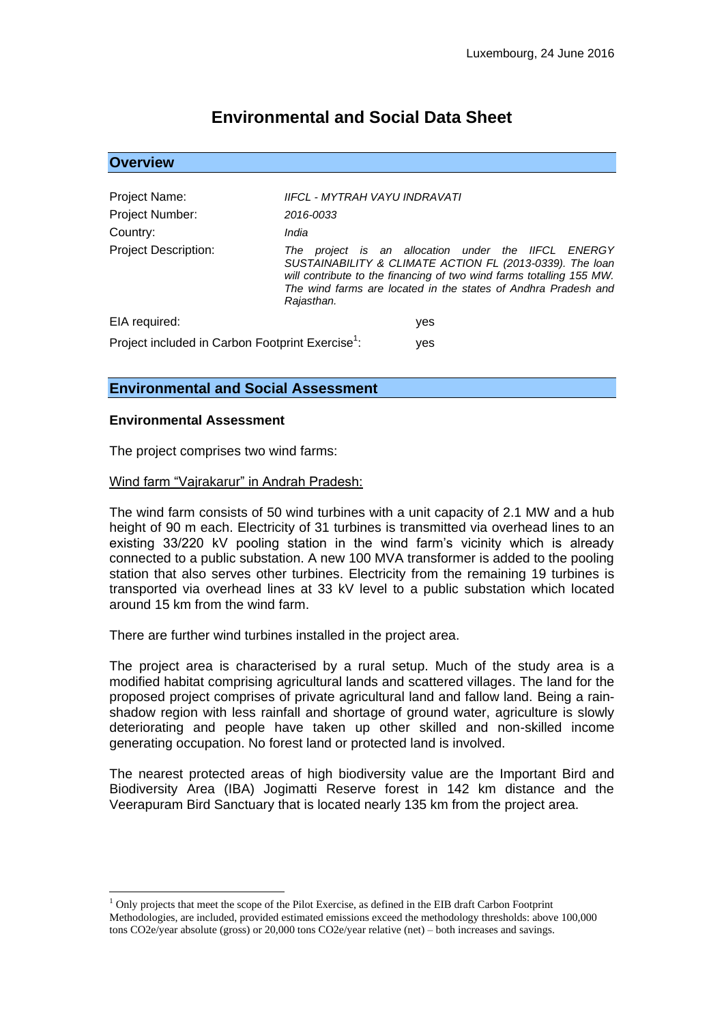# **Environmental and Social Data Sheet**

| <b>Overview</b>                                                     |                                                                                                                                                                                                                                                                            |
|---------------------------------------------------------------------|----------------------------------------------------------------------------------------------------------------------------------------------------------------------------------------------------------------------------------------------------------------------------|
| Project Name:<br>Project Number:<br>Country:                        | IIFCL - MYTRAH VAYU INDRAVATI<br>2016-0033<br>India                                                                                                                                                                                                                        |
| <b>Project Description:</b>                                         | project is an allocation under the IIFCL ENERGY<br>The<br>SUSTAINABILITY & CLIMATE ACTION FL (2013-0339). The loan<br>will contribute to the financing of two wind farms totalling 155 MW.<br>The wind farms are located in the states of Andhra Pradesh and<br>Rajasthan. |
| EIA required:                                                       | yes                                                                                                                                                                                                                                                                        |
| Project included in Carbon Footprint Exercise <sup>1</sup> :<br>yes |                                                                                                                                                                                                                                                                            |

# **Environmental and Social Assessment**

#### **Environmental Assessment**

<u>.</u>

The project comprises two wind farms:

#### Wind farm "Vajrakarur" in Andrah Pradesh:

The wind farm consists of 50 wind turbines with a unit capacity of 2.1 MW and a hub height of 90 m each. Electricity of 31 turbines is transmitted via overhead lines to an existing 33/220 kV pooling station in the wind farm's vicinity which is already connected to a public substation. A new 100 MVA transformer is added to the pooling station that also serves other turbines. Electricity from the remaining 19 turbines is transported via overhead lines at 33 kV level to a public substation which located around 15 km from the wind farm.

There are further wind turbines installed in the project area.

The project area is characterised by a rural setup. Much of the study area is a modified habitat comprising agricultural lands and scattered villages. The land for the proposed project comprises of private agricultural land and fallow land. Being a rainshadow region with less rainfall and shortage of ground water, agriculture is slowly deteriorating and people have taken up other skilled and non-skilled income generating occupation. No forest land or protected land is involved.

The nearest protected areas of high biodiversity value are the Important Bird and Biodiversity Area (IBA) Jogimatti Reserve forest in 142 km distance and the Veerapuram Bird Sanctuary that is located nearly 135 km from the project area.

 $<sup>1</sup>$  Only projects that meet the scope of the Pilot Exercise, as defined in the EIB draft Carbon Footprint</sup> Methodologies, are included, provided estimated emissions exceed the methodology thresholds: above 100,000 tons CO2e/year absolute (gross) or 20,000 tons CO2e/year relative (net) – both increases and savings.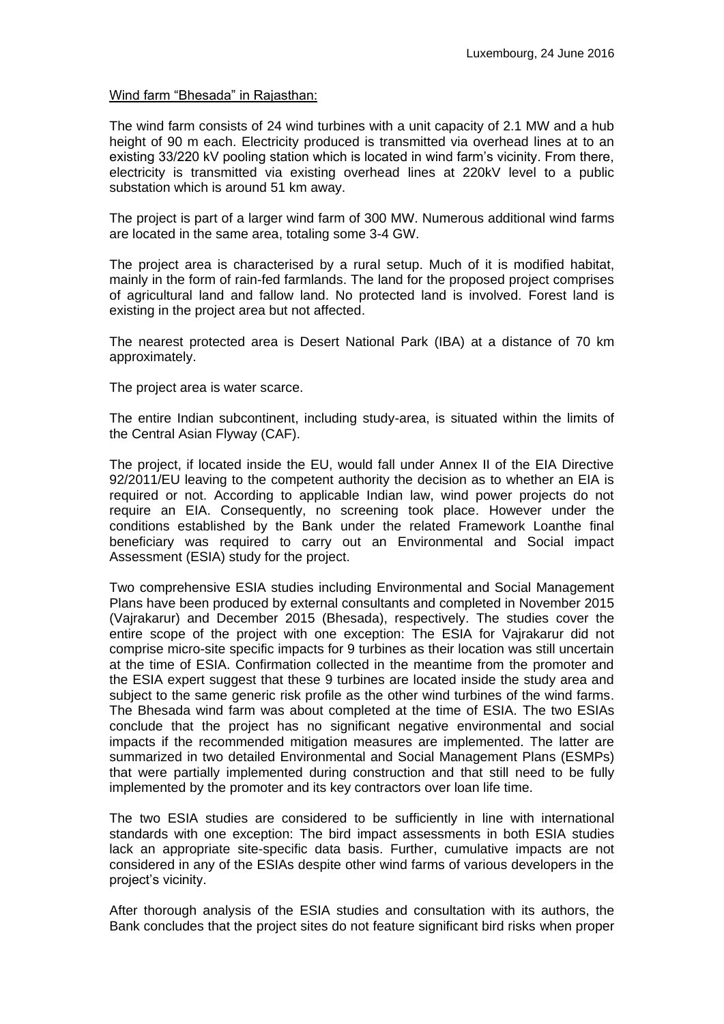### Wind farm "Bhesada" in Rajasthan:

The wind farm consists of 24 wind turbines with a unit capacity of 2.1 MW and a hub height of 90 m each. Electricity produced is transmitted via overhead lines at to an existing 33/220 kV pooling station which is located in wind farm's vicinity. From there, electricity is transmitted via existing overhead lines at 220kV level to a public substation which is around 51 km away.

The project is part of a larger wind farm of 300 MW. Numerous additional wind farms are located in the same area, totaling some 3-4 GW.

The project area is characterised by a rural setup. Much of it is modified habitat, mainly in the form of rain-fed farmlands. The land for the proposed project comprises of agricultural land and fallow land. No protected land is involved. Forest land is existing in the project area but not affected.

The nearest protected area is Desert National Park (IBA) at a distance of 70 km approximately.

The project area is water scarce.

The entire Indian subcontinent, including study-area, is situated within the limits of the Central Asian Flyway (CAF).

The project, if located inside the EU, would fall under Annex II of the EIA Directive 92/2011/EU leaving to the competent authority the decision as to whether an EIA is required or not. According to applicable Indian law, wind power projects do not require an EIA. Consequently, no screening took place. However under the conditions established by the Bank under the related Framework Loanthe final beneficiary was required to carry out an Environmental and Social impact Assessment (ESIA) study for the project.

Two comprehensive ESIA studies including Environmental and Social Management Plans have been produced by external consultants and completed in November 2015 (Vajrakarur) and December 2015 (Bhesada), respectively. The studies cover the entire scope of the project with one exception: The ESIA for Vajrakarur did not comprise micro-site specific impacts for 9 turbines as their location was still uncertain at the time of ESIA. Confirmation collected in the meantime from the promoter and the ESIA expert suggest that these 9 turbines are located inside the study area and subject to the same generic risk profile as the other wind turbines of the wind farms. The Bhesada wind farm was about completed at the time of ESIA. The two ESIAs conclude that the project has no significant negative environmental and social impacts if the recommended mitigation measures are implemented. The latter are summarized in two detailed Environmental and Social Management Plans (ESMPs) that were partially implemented during construction and that still need to be fully implemented by the promoter and its key contractors over loan life time.

The two ESIA studies are considered to be sufficiently in line with international standards with one exception: The bird impact assessments in both ESIA studies lack an appropriate site-specific data basis. Further, cumulative impacts are not considered in any of the ESIAs despite other wind farms of various developers in the project's vicinity.

After thorough analysis of the ESIA studies and consultation with its authors, the Bank concludes that the project sites do not feature significant bird risks when proper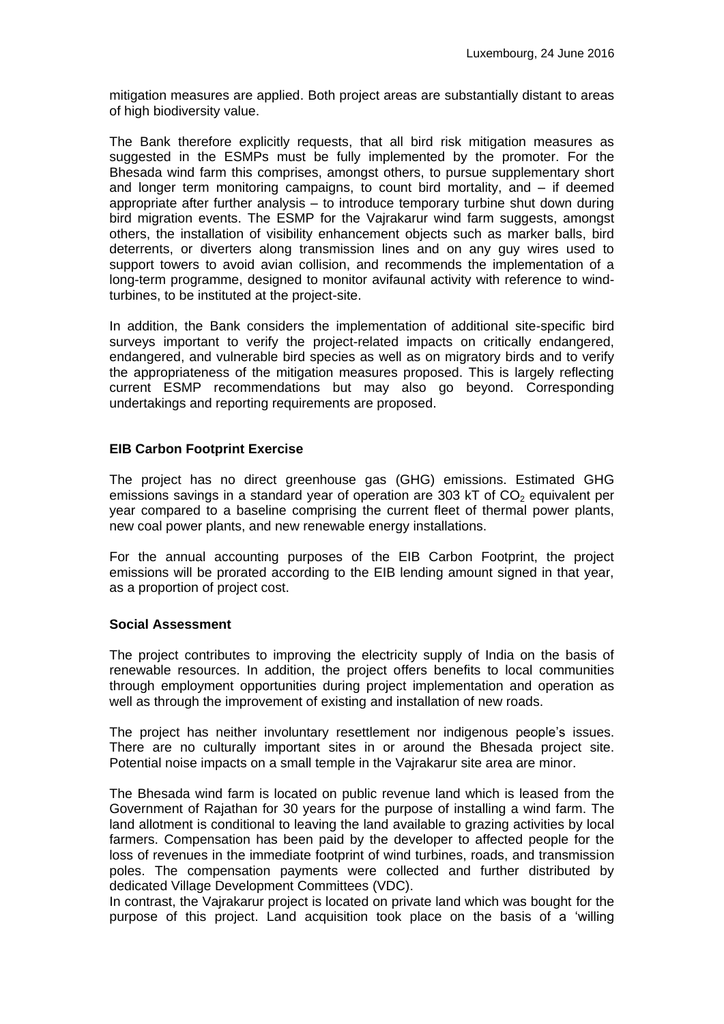mitigation measures are applied. Both project areas are substantially distant to areas of high biodiversity value.

The Bank therefore explicitly requests, that all bird risk mitigation measures as suggested in the ESMPs must be fully implemented by the promoter. For the Bhesada wind farm this comprises, amongst others, to pursue supplementary short and longer term monitoring campaigns, to count bird mortality, and – if deemed appropriate after further analysis – to introduce temporary turbine shut down during bird migration events. The ESMP for the Vajrakarur wind farm suggests, amongst others, the installation of visibility enhancement objects such as marker balls, bird deterrents, or diverters along transmission lines and on any guy wires used to support towers to avoid avian collision, and recommends the implementation of a long-term programme, designed to monitor avifaunal activity with reference to windturbines, to be instituted at the project-site.

In addition, the Bank considers the implementation of additional site-specific bird surveys important to verify the project-related impacts on critically endangered, endangered, and vulnerable bird species as well as on migratory birds and to verify the appropriateness of the mitigation measures proposed. This is largely reflecting current ESMP recommendations but may also go beyond. Corresponding undertakings and reporting requirements are proposed.

## **EIB Carbon Footprint Exercise**

The project has no direct greenhouse gas (GHG) emissions. Estimated GHG emissions savings in a standard year of operation are 303 kT of  $CO<sub>2</sub>$  equivalent per year compared to a baseline comprising the current fleet of thermal power plants, new coal power plants, and new renewable energy installations.

For the annual accounting purposes of the EIB Carbon Footprint, the project emissions will be prorated according to the EIB lending amount signed in that year, as a proportion of project cost.

### **Social Assessment**

The project contributes to improving the electricity supply of India on the basis of renewable resources. In addition, the project offers benefits to local communities through employment opportunities during project implementation and operation as well as through the improvement of existing and installation of new roads.

The project has neither involuntary resettlement nor indigenous people's issues. There are no culturally important sites in or around the Bhesada project site. Potential noise impacts on a small temple in the Vajrakarur site area are minor.

The Bhesada wind farm is located on public revenue land which is leased from the Government of Rajathan for 30 years for the purpose of installing a wind farm. The land allotment is conditional to leaving the land available to grazing activities by local farmers. Compensation has been paid by the developer to affected people for the loss of revenues in the immediate footprint of wind turbines, roads, and transmission poles. The compensation payments were collected and further distributed by dedicated Village Development Committees (VDC).

In contrast, the Vajrakarur project is located on private land which was bought for the purpose of this project. Land acquisition took place on the basis of a 'willing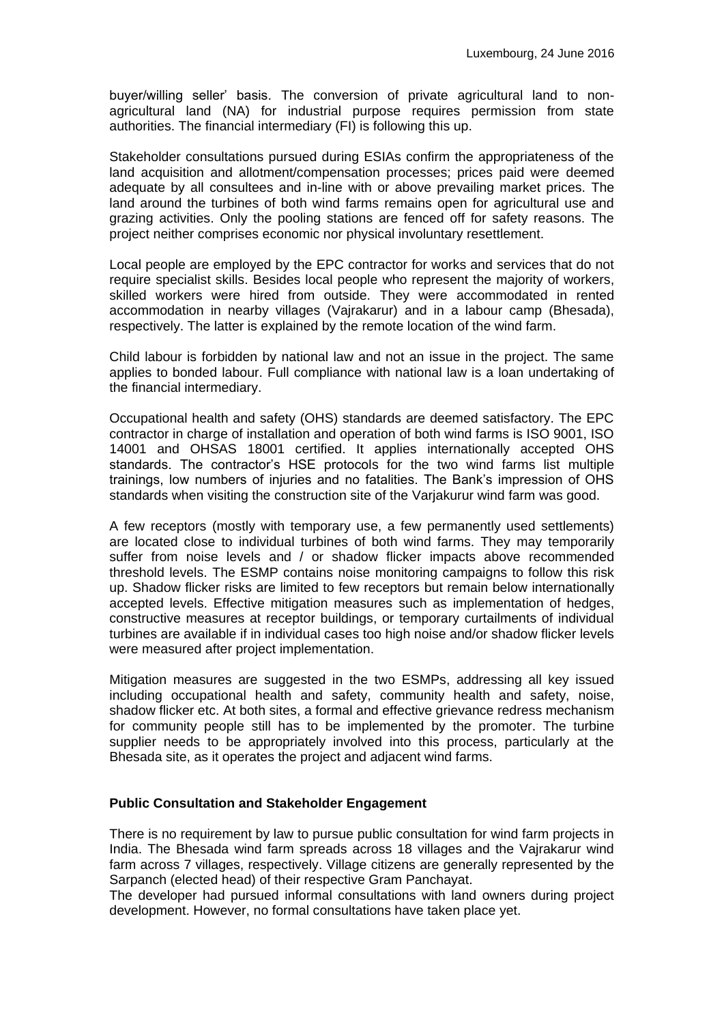buyer/willing seller' basis. The conversion of private agricultural land to nonagricultural land (NA) for industrial purpose requires permission from state authorities. The financial intermediary (FI) is following this up.

Stakeholder consultations pursued during ESIAs confirm the appropriateness of the land acquisition and allotment/compensation processes; prices paid were deemed adequate by all consultees and in-line with or above prevailing market prices. The land around the turbines of both wind farms remains open for agricultural use and grazing activities. Only the pooling stations are fenced off for safety reasons. The project neither comprises economic nor physical involuntary resettlement.

Local people are employed by the EPC contractor for works and services that do not require specialist skills. Besides local people who represent the majority of workers, skilled workers were hired from outside. They were accommodated in rented accommodation in nearby villages (Vajrakarur) and in a labour camp (Bhesada), respectively. The latter is explained by the remote location of the wind farm.

Child labour is forbidden by national law and not an issue in the project. The same applies to bonded labour. Full compliance with national law is a loan undertaking of the financial intermediary.

Occupational health and safety (OHS) standards are deemed satisfactory. The EPC contractor in charge of installation and operation of both wind farms is ISO 9001, ISO 14001 and OHSAS 18001 certified. It applies internationally accepted OHS standards. The contractor's HSE protocols for the two wind farms list multiple trainings, low numbers of injuries and no fatalities. The Bank's impression of OHS standards when visiting the construction site of the Varjakurur wind farm was good.

A few receptors (mostly with temporary use, a few permanently used settlements) are located close to individual turbines of both wind farms. They may temporarily suffer from noise levels and / or shadow flicker impacts above recommended threshold levels. The ESMP contains noise monitoring campaigns to follow this risk up. Shadow flicker risks are limited to few receptors but remain below internationally accepted levels. Effective mitigation measures such as implementation of hedges, constructive measures at receptor buildings, or temporary curtailments of individual turbines are available if in individual cases too high noise and/or shadow flicker levels were measured after project implementation.

Mitigation measures are suggested in the two ESMPs, addressing all key issued including occupational health and safety, community health and safety, noise, shadow flicker etc. At both sites, a formal and effective grievance redress mechanism for community people still has to be implemented by the promoter. The turbine supplier needs to be appropriately involved into this process, particularly at the Bhesada site, as it operates the project and adjacent wind farms.

### **Public Consultation and Stakeholder Engagement**

There is no requirement by law to pursue public consultation for wind farm projects in India. The Bhesada wind farm spreads across 18 villages and the Vajrakarur wind farm across 7 villages, respectively. Village citizens are generally represented by the Sarpanch (elected head) of their respective Gram Panchayat.

The developer had pursued informal consultations with land owners during project development. However, no formal consultations have taken place yet.